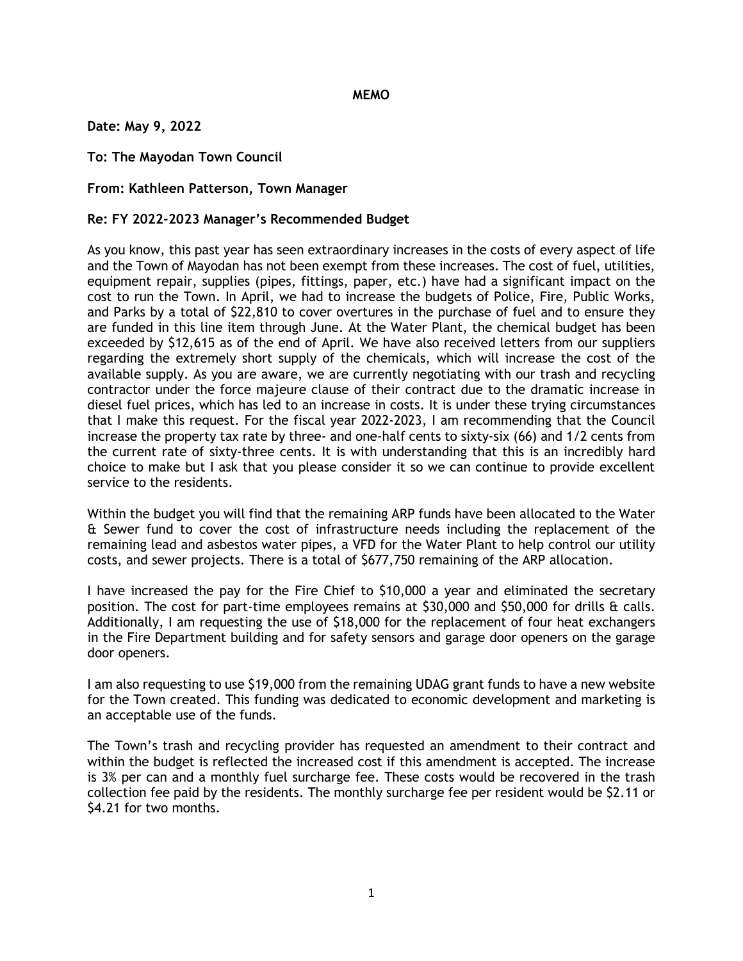## **MEMO**

**Date: May 9, 2022**

**To: The Mayodan Town Council**

## **From: Kathleen Patterson, Town Manager**

## **Re: FY 2022-2023 Manager's Recommended Budget**

As you know, this past year has seen extraordinary increases in the costs of every aspect of life and the Town of Mayodan has not been exempt from these increases. The cost of fuel, utilities, equipment repair, supplies (pipes, fittings, paper, etc.) have had a significant impact on the cost to run the Town. In April, we had to increase the budgets of Police, Fire, Public Works, and Parks by a total of \$22,810 to cover overtures in the purchase of fuel and to ensure they are funded in this line item through June. At the Water Plant, the chemical budget has been exceeded by \$12,615 as of the end of April. We have also received letters from our suppliers regarding the extremely short supply of the chemicals, which will increase the cost of the available supply. As you are aware, we are currently negotiating with our trash and recycling contractor under the force majeure clause of their contract due to the dramatic increase in diesel fuel prices, which has led to an increase in costs. It is under these trying circumstances that I make this request. For the fiscal year 2022-2023, I am recommending that the Council increase the property tax rate by three- and one-half cents to sixty-six (66) and 1/2 cents from the current rate of sixty-three cents. It is with understanding that this is an incredibly hard choice to make but I ask that you please consider it so we can continue to provide excellent service to the residents.

Within the budget you will find that the remaining ARP funds have been allocated to the Water & Sewer fund to cover the cost of infrastructure needs including the replacement of the remaining lead and asbestos water pipes, a VFD for the Water Plant to help control our utility costs, and sewer projects. There is a total of \$677,750 remaining of the ARP allocation.

I have increased the pay for the Fire Chief to \$10,000 a year and eliminated the secretary position. The cost for part-time employees remains at \$30,000 and \$50,000 for drills & calls. Additionally, I am requesting the use of \$18,000 for the replacement of four heat exchangers in the Fire Department building and for safety sensors and garage door openers on the garage door openers.

I am also requesting to use \$19,000 from the remaining UDAG grant funds to have a new website for the Town created. This funding was dedicated to economic development and marketing is an acceptable use of the funds.

The Town's trash and recycling provider has requested an amendment to their contract and within the budget is reflected the increased cost if this amendment is accepted. The increase is 3% per can and a monthly fuel surcharge fee. These costs would be recovered in the trash collection fee paid by the residents. The monthly surcharge fee per resident would be \$2.11 or \$4.21 for two months.